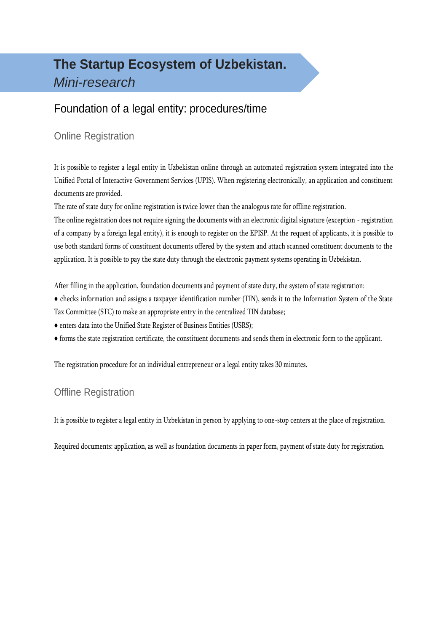# **The Startup Ecosystem of Uzbekistan.** *Mini-research*

## Foundation of a legal entity: procedures/time

### Online Registration

It is possible to register a legal entity in Uzbekistan online through an automated registration system integrated into the Unified Portal of Interactive Government Services (UPIS). When registering electronically, an application and constituent documents are provided.

The rate of state duty for online registration is twice lower than the analogous rate for offline registration.

The online registration does not require signing the documents with an electronic digital signature (exception - registration of a company by a foreign legal entity), it is enough to register on the EPISP. At the request of applicants, it is possible to use both standard forms of constituent documents offered by the system and attach scanned constituent documents to the application. It is possible to pay the state duty through the electronic payment systems operating in Uzbekistan.

After filling in the application, foundation documents and payment of state duty, the system of state registration:

- checks information and assigns a taxpayer identification number (TIN), sends it to the Information System of the State Tax Committee (STC) to make an appropriate entry in the centralized TIN database;
- enters data into the Unified State Register of Business Entities (USRS);
- forms the state registration certificate, the constituent documents and sends them in electronic form to the applicant.

The registration procedure for an individual entrepreneur or a legal entity takes 30 minutes.

### Offline Registration

It is possible to register a legal entity in Uzbekistan in person by applying to one-stop centers at the place of registration.

Required documents: application, as well as foundation documents in paper form, payment of state duty for registration.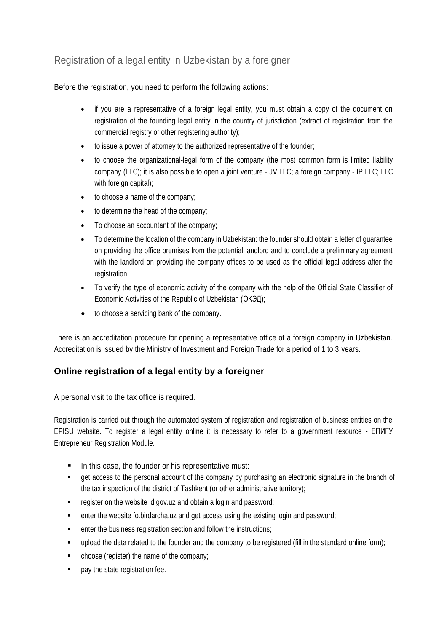### Registration of a legal entity in Uzbekistan by a foreigner

Before the registration, you need to perform the following actions:

- if you are a representative of a foreign legal entity, you must obtain a copy of the document on registration of the founding legal entity in the country of jurisdiction (extract of registration from the commercial registry or other registering authority);
- to issue a power of attorney to the authorized representative of the founder;
- to choose the organizational-legal form of the company (the most common form is limited liability company (LLC); it is also possible to open a joint venture - JV LLC; a foreign company - IP LLC; LLC with foreign capital);
- to choose a name of the company;
- to determine the head of the company;
- To choose an accountant of the company;
- To determine the location of the company in Uzbekistan: the founder should obtain a letter of guarantee on providing the office premises from the potential landlord and to conclude a preliminary agreement with the landlord on providing the company offices to be used as the official legal address after the registration;
- To verify the type of economic activity of the company with the help of the Official State Classifier of Economic Activities of the Republic of Uzbekistan (ОКЭД);
- to choose a servicing bank of the company.

There is an accreditation procedure for opening a representative office of a foreign company in Uzbekistan. Accreditation is issued by the Ministry of Investment and Foreign Trade for a period of 1 to 3 years.

### **Online registration of a legal entity by a foreigner**

A personal visit to the tax office is required.

Registration is carried out through the automated system of registration and registration of business entities on the EPISU website. To register a legal entity online it is necessary to refer to a government resource - ЕПИГУ Entrepreneur Registration Module.

- In this case, the founder or his representative must:
- get access to the personal account of the company by purchasing an electronic signature in the branch of the tax inspection of the district of Tashkent (or other administrative territory);
- **F** register on the website id.gov.uz and obtain a login and password;
- enter the website fo.birdarcha.uz and get access using the existing login and password;
- **EXECUTE:** enter the business registration section and follow the instructions;
- **upload the data related to the founder and the company to be registered (fill in the standard online form);**
- choose (register) the name of the company;
- **•** pay the state registration fee.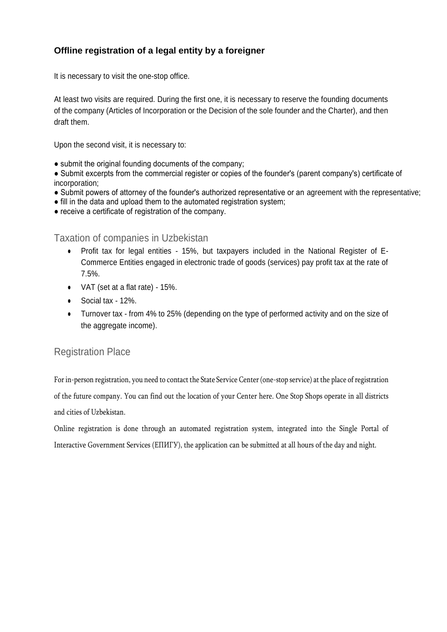#### **Offline registration of a legal entity by a foreigner**

It is necessary to visit the one-stop office.

At least two visits are required. During the first one, it is necessary to reserve the founding documents of the company (Articles of Incorporation or the Decision of the sole founder and the Charter), and then draft them.

Upon the second visit, it is necessary to:

• submit the original founding documents of the company;

● Submit excerpts from the commercial register or copies of the founder's (parent company's) certificate of incorporation;

- Submit powers of attorney of the founder's authorized representative or an agreement with the representative;
- fill in the data and upload them to the automated registration system;
- receive a certificate of registration of the company.

Taxation of companies in Uzbekistan

- Profit tax for legal entities 15%, but taxpayers included in the National Register of E-Commerce Entities engaged in electronic trade of goods (services) pay profit tax at the rate of 7.5%.
- VAT (set at a flat rate) 15%.
- Social tax 12%.
- Turnover tax from 4% to 25% (depending on the type of performed activity and on the size of the aggregate income).

### Registration Place

For in-person registration, you need to contact the State Service Center (one-stop service) at the place of registration of the future company. You can find out the location of your Center here. One Stop Shops operate in all districts and cities of Uzbekistan.

Online registration is done through an automated registration system, integrated into the Single Portal of Interactive Government Services (ЕПИГУ), the application can be submitted at all hours of the day and night.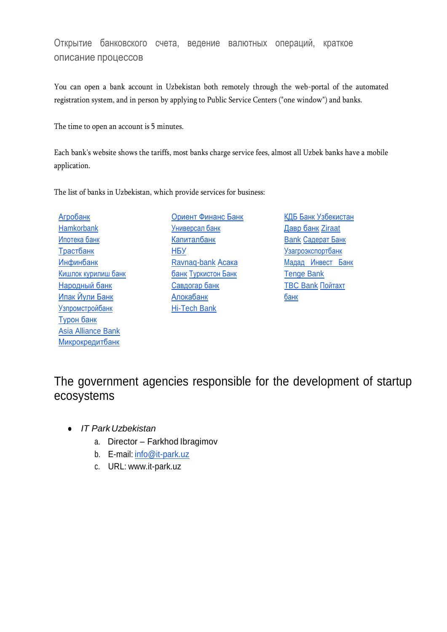### Открытие банковского счета, ведение валютных операций, краткое описание процессов

You can open a bank account in Uzbekistan both remotely through the web-portal of the automated registration system, and in person by applying to Public Service Centers ("one window") and banks.

The time to open an account is 5 minutes.

Each bank's website shows the tariffs, most banks charge service fees, almost all Uzbek banks have a mobile application.

The list of banks in Uzbekistan, which provide services for business:

[Агробанк](https://www.agrobank.uz/ru/business) [Hamkorbank](http://hamkorbank/) [Ипотека банк](https://www.ipotekabank.uz/) [Трастбанк](https://trustbank.uz/ru/corporate/) [Инфинбанк](https://www.infinbank.com/ru/) [Кишлок курилиш банк](http://qishloqqurilishbank.uz/) [Народный банк](https://www.xb.uz/ru) [Ипак Йули Банк](https://ru.ipakyulibank.uz/physical?from_lang=uz) [Узпромстройбанк](https://uzpsb.uz/uz/) [Турон банк](https://turonbank.uz/ru/) [Asia Alliance Bank](https://aab.uz/ru/) [Микрокредитбанк](https://mikrokreditbank.uz/ru/)

- [Ориент Финанс Банк](https://ofb.uz/) [Универсал банк](https://universalbank.uz/business) **[Капиталбанк](https://kapitalbank.uz/ru/welcome.php)** [НБУ](https://nbu.uz/physical/) [Ravnaq-bank](https://www.ravnaqbank.uz/ru/) [Асака](https://www.asakabank.uz/ru)  [банк](https://www.asakabank.uz/ru) [Туркистон Банк](https://turkistonbank.uz/ru/) [Савдогар банк](https://www.savdogarbank.uz/ru/) [Алокабанк](https://aloqabank.uz/ru/) [Hi-Tech Bank](https://htb.uz/business)
- [КДБ Банк Узбекистан](https://www.kdb.uz/ru) [Давр банк](https://www.davrbank.uz/ru) [Ziraat](https://www.ziraatbank.uz/)  **[Bank](https://www.ziraatbank.uz/) [Садерат Банк](http://www.saderatbank.uz/)** [Узагроэкспортбанк](http://uaeb.uz/ru) [Мадад Инвест Банк](https://madadinvestbank.uz/) [Tenge Bank](https://www.tengebank.uz/ru) [TBC Bank](https://www.tbcbank.uz/?lang=ru) [Пойтахт](https://www.poytaxtbank.uz/oz)  [банк](https://www.poytaxtbank.uz/oz)

The government agencies responsible for the development of startup ecosystems

- *IT Park Uzbekistan*
	- a. Director Farkhod Ibragimov
	- b. E-mail: [info@it-park.uz](mailto:info@it-park.uz)
	- c. URL: [www.it-park.uz](http://www/)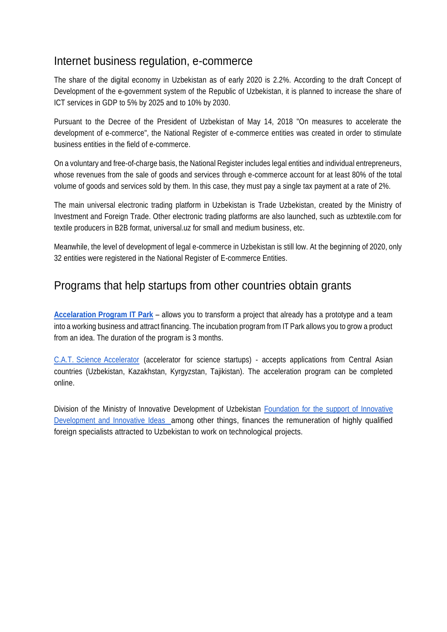### Internet business regulation, e-commerce

The share of the digital economy in Uzbekistan as of early 2020 is 2.2%. According to the draft Concept of Development of the e-government system of the Republic of Uzbekistan, it is planned to increase the share of ICT services in GDP to 5% by 2025 and to 10% by 2030.

Pursuant to the Decree of the President of Uzbekistan of May 14, 2018 "On measures to accelerate the development of e-commerce", the National Register of e-commerce entities was created in order to stimulate business entities in the field of e-commerce.

On a voluntary and free-of-charge basis, the National Register includes legal entities and individual entrepreneurs, whose revenues from the sale of goods and services through e-commerce account for at least 80% of the total volume of goods and services sold by them. In this case, they must pay a single tax payment at a rate of 2%.

The main universal electronic trading platform in Uzbekistan is Trade Uzbekistan, created by the Ministry of Investment and Foreign Trade. Other electronic trading platforms are also launched, such as uzbtextile.com for textile producers in B2B format, universal.uz for small and medium business, etc.

Meanwhile, the level of development of legal e-commerce in Uzbekistan is still low. At the beginning of 2020, only 32 entities were registered in the National Register of E-commerce Entities.

## Programs that help startups from other countries obtain grants

**[Accelaration](https://it-park.uz/ru/itpark/startups) Program IT Park** – allows you to transform a project that already has a prototype and a team into a working business and attract financing. The incubation program from IT Park allows you to grow a product from an idea. The duration of the program is 3 months.

C.A.T. Science [Accelerator](http://cat-sa.uz/) (accelerator for science startups) - accepts applications from Central Asian countries (Uzbekistan, Kazakhstan, Kyrgyzstan, Tajikistan). The acceleration program can be completed online.

Division of the Ministry of Innovative Development of Uzbekistan Foundation for the support of Innovative Development and Innovative Ideas among other things, finances the remuneration of highly qualified foreign specialists attracted to Uzbekistan to work on technological projects.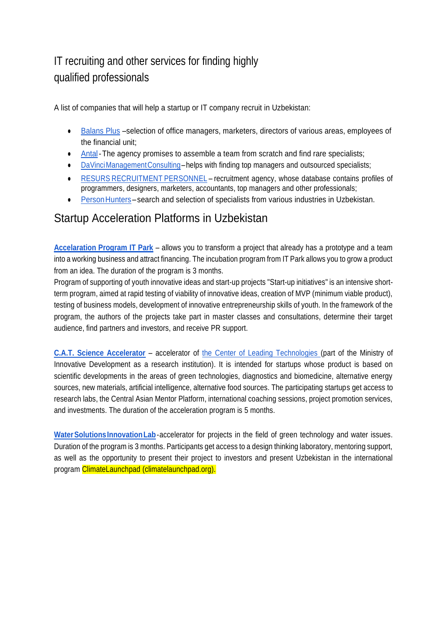# IT recruiting and other services for finding highly qualified professionals

A list of companies that will help a startup or IT company recruit in Uzbekistan:

- [Balans Plus](https://balansplus.com/%d1%80%d0%b5%d0%ba%d1%80%d1%83%d0%b8%d1%82%d0%b8%d0%bd%d0%b3-%d0%bf%d0%be%d0%b8%d1%81%d0%ba-%d0%b8-%d0%bf%d0%be%d0%b4%d0%b1%d0%be%d1%80-%d0%bf%d0%b5%d1%80%d1%81%d0%be%d0%bd%d0%b0%d0%bb%d0%b0-%d0%bf/) –selection of office managers, marketers, directors of various areas, employees of the financial unit;
- [Antal-](https://antaluzbekistan.com/)The agency promises to assemble a team from scratch and find rare specialists;
- [DaVinciManagementConsulting–](https://www.davinci.uz/)helps with finding top managers and outsourced specialists;
- RESURS [RECRUITMENT](http://resurs.uz/) PERSONNEL recruitment agency, whose database contains profiles of programmers, designers, marketers, accountants, top managers and other professionals;
- Person Hunters search and selection of specialists from various industries in Uzbekistan.

## Startup Acceleration Platforms in Uzbekistan

**[Accelaration](https://it-park.uz/ru/itpark/startups) Program IT Park** – allows you to transform a project that already has a prototype and a team into a working business and attract financing. The incubation program from IT Park allows you to grow a product from an idea. The duration of the program is 3 months.

Program of supporting of youth innovative ideas and start-up projects "Start-up initiatives" is an intensive shortterm program, aimed at rapid testing of viability of innovative ideas, creation of MVP (minimum viable product), testing of business models, development of innovative entrepreneurship skills of youth. In the framework of the program, the authors of the projects take part in master classes and consultations, determine their target audience, find partners and investors, and receive PR support.

**[C.A.T. Science Accelerator](http://cat-sa.uz/)** – accelerator of the Center of Leading [Technologies](https://mininnovation.uz/ru/organizations/ilor-tehnologijalar-markazi1) (part of the Ministry of Innovative Development as a research institution). It is intended for startups whose product is based on scientific developments in the areas of green technologies, diagnostics and biomedicine, alternative energy sources, new materials, artificial intelligence, alternative food sources. The participating startups get access to research labs, the Central Asian Mentor Platform, international coaching sessions, project promotion services, and investments. The duration of the acceleration program is 5 months.

Water Solutions Innovation Lab-accelerator for projects in the field of green technology and water issues. Duration of the program is 3 months. Participants get access to a design thinking laboratory, mentoring support, as well as the opportunity to present their project to investors and present Uzbekistan in the international program ClimateLaunchpad (climatelaunchpad.org).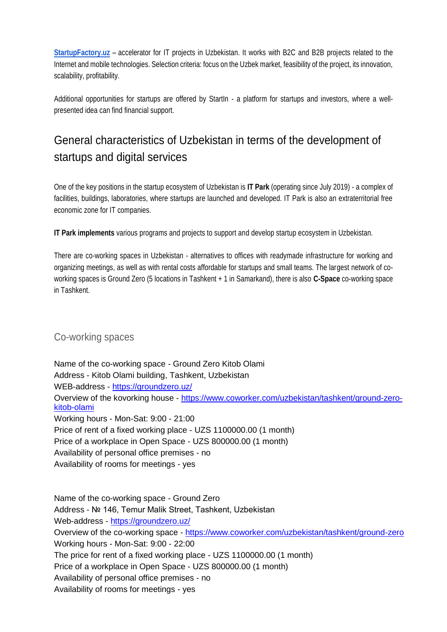**[StartupFactory.uz](http://startupfactory.uz/)** – accelerator for IT projects in Uzbekistan. It works with B2C and B2B projects related to the Internet and mobile technologies. Selection criteria: focus on the Uzbek market, feasibility of the project, its innovation, scalability, profitability.

Additional opportunities for startups are offered by StartIn - a platform for startups and investors, where a wellpresented idea can find financial support.

# General characteristics of Uzbekistan in terms of the development of startups and digital services

One of the key positions in the startup ecosystem of Uzbekistan is **IT Park** (operating since July 2019) - a complex of facilities, buildings, laboratories, where startups are launched and developed. IT Park is also an extraterritorial free economic zone for IT companies.

**IT Park implements** various programs and projects to support and develop startup ecosystem in Uzbekistan.

There are co-working spaces in Uzbekistan - alternatives to offices with readymade infrastructure for working and organizing meetings, as well as with rental costs affordable for startups and small teams. The largest network of coworking spaces is Ground Zero (5 locations in Tashkent + 1 in Samarkand), there is also **C-Space** co-working space in Tashkent.

### Co-working spaces

Name of the co-working space - Ground Zero Kitob Olami Address - Kitob Olami building, Tashkent, Uzbekistan WEB-address - <https://groundzero.uz/> Overview of the kovorking house - [https://www.coworker.com/uzbekistan/tashkent/ground-zero](https://www.coworker.com/uzbekistan/tashkent/ground-zero-kitob-olami)[kitob-olami](https://www.coworker.com/uzbekistan/tashkent/ground-zero-kitob-olami) Working hours - Mon-Sat: 9:00 - 21:00 Price of rent of a fixed working place - UZS 1100000.00 (1 month) Price of a workplace in Open Space - UZS 800000.00 (1 month) Availability of personal office premises - no Availability of rooms for meetings - yes

Name of the co-working space - Ground Zero Address - № 146, Temur Malik Street, Tashkent, Uzbekistan Web-address - <https://groundzero.uz/> Overview of the co-working space - <https://www.coworker.com/uzbekistan/tashkent/ground-zero> Working hours - Mon-Sat: 9:00 - 22:00 The price for rent of a fixed working place - UZS 1100000.00 (1 month) Price of a workplace in Open Space - UZS 800000.00 (1 month) Availability of personal office premises - no Availability of rooms for meetings - yes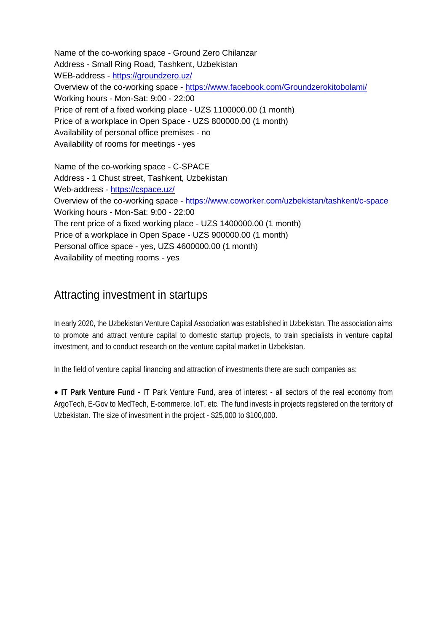Name of the co-working space - Ground Zero Chilanzar Address - Small Ring Road, Tashkent, Uzbekistan WEB-address - <https://groundzero.uz/> Overview of the co-working space - <https://www.facebook.com/Groundzerokitobolami/> Working hours - Mon-Sat: 9:00 - 22:00 Price of rent of a fixed working place - UZS 1100000.00 (1 month) Price of a workplace in Open Space - UZS 800000.00 (1 month) Availability of personal office premises - no Availability of rooms for meetings - yes

Name of the co-working space - C-SPACE Address - 1 Chust street, Tashkent, Uzbekistan Web-address - <https://cspace.uz/> Overview of the co-working space - <https://www.coworker.com/uzbekistan/tashkent/c-space> Working hours - Mon-Sat: 9:00 - 22:00 The rent price of a fixed working place - UZS 1400000.00 (1 month) Price of a workplace in Open Space - UZS 900000.00 (1 month) Personal office space - yes, UZS 4600000.00 (1 month) Availability of meeting rooms - yes

## Attracting investment in startups

In early 2020, the Uzbekistan Venture Capital Association was established in Uzbekistan. The association aims to promote and attract venture capital to domestic startup projects, to train specialists in venture capital investment, and to conduct research on the venture capital market in Uzbekistan.

In the field of venture capital financing and attraction of investments there are such companies as:

● **IT Park Venture Fund** - IT Park Venture Fund, area of interest - all sectors of the real economy from ArgoTech, E-Gov to MedTech, E-commerce, IoT, etc. The fund invests in projects registered on the territory of Uzbekistan. The size of investment in the project - \$25,000 to \$100,000.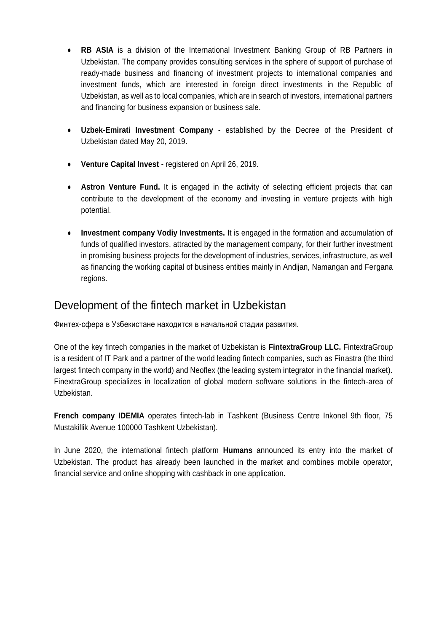- **RB ASIA** is a division of the International Investment Banking Group of RB Partners in Uzbekistan. The company provides consulting services in the sphere of support of purchase of ready-made business and financing of investment projects to international companies and investment funds, which are interested in foreign direct investments in the Republic of Uzbekistan, as well as to local companies, which are in search of investors, international partners and financing for business expansion or business sale.
- **Uzbek-Emirati Investment Company** established by the Decree of the President of Uzbekistan dated May 20, 2019.
- **Venture Capital Invest** registered on April 26, 2019.
- **Astron Venture Fund.** It is engaged in the activity of selecting efficient projects that can contribute to the development of the economy and investing in venture projects with high potential.
- **Investment company Vodiy Investments.** It is engaged in the formation and accumulation of funds of qualified investors, attracted by the management company, for their further investment in promising business projects for the development of industries, services, infrastructure, as well as financing the working capital of business entities mainly in Andijan, Namangan and Fergana regions.

## Development of the fintech market in Uzbekistan

Финтех-сфера в Узбекистане находится в начальной стадии развития.

One of the key fintech companies in the market of Uzbekistan is **FintextraGroup LLC.** FintextraGroup is a resident of IT Park and a partner of the world leading fintech companies, such as Finastra (the third largest fintech company in the world) and Neoflex (the leading system integrator in the financial market). FinextraGroup specializes in localization of global modern software solutions in the fintech-area of Uzbekistan.

**French company IDEMIA** operates fintech-lab in Tashkent (Business Centre Inkonel 9th floor, 75 Mustakillik Avenue 100000 Tashkent Uzbekistan).

In June 2020, the international fintech platform **Humans** announced its entry into the market of Uzbekistan. The product has already been launched in the market and combines mobile operator, financial service and online shopping with cashback in one application.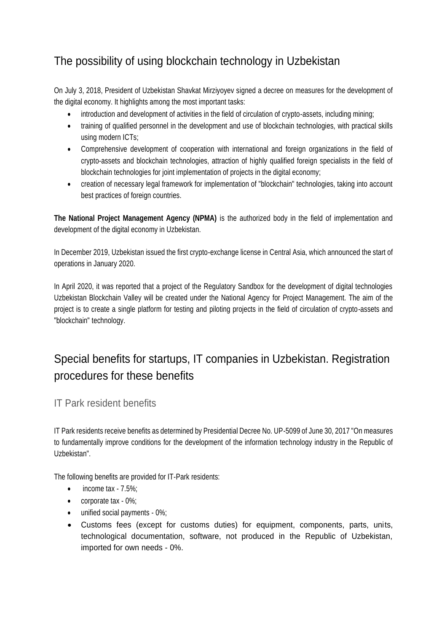## The possibility of using blockchain technology in Uzbekistan

On July 3, 2018, President of Uzbekistan Shavkat Mirziyoyev signed a decree on measures for the development of the digital economy. It highlights among the most important tasks:

- introduction and development of activities in the field of circulation of crypto-assets, including mining;
- training of qualified personnel in the development and use of blockchain technologies, with practical skills using modern ICTs;
- Comprehensive development of cooperation with international and foreign organizations in the field of crypto-assets and blockchain technologies, attraction of highly qualified foreign specialists in the field of blockchain technologies for joint implementation of projects in the digital economy;
- creation of necessary legal framework for implementation of "blockchain" technologies, taking into account best practices of foreign countries.

**The National Project Management Agency (NPMA)** is the authorized body in the field of implementation and development of the digital economy in Uzbekistan.

In December 2019, Uzbekistan issued the first crypto-exchange license in Central Asia, which announced the start of operations in January 2020.

In April 2020, it was reported that a project of the Regulatory Sandbox for the development of digital technologies Uzbekistan Blockchain Valley will be created under the National Agency for Project Management. The aim of the project is to create a single platform for testing and piloting projects in the field of circulation of crypto-assets and "blockchain" technology.

# Special benefits for startups, IT companies in Uzbekistan. Registration procedures for these benefits

IT Park resident benefits

IT Park residents receive benefits as determined by Presidential Decree No. UP-5099 of June 30, 2017 "On measures to fundamentally improve conditions for the development of the information technology industry in the Republic of Uzbekistan".

The following benefits are provided for IT-Park residents:

- income tax 7.5%;
- corporate tax 0%;
- unified social payments 0%;
- Customs fees (except for customs duties) for equipment, components, parts, units, technological documentation, software, not produced in the Republic of Uzbekistan, imported for own needs - 0%.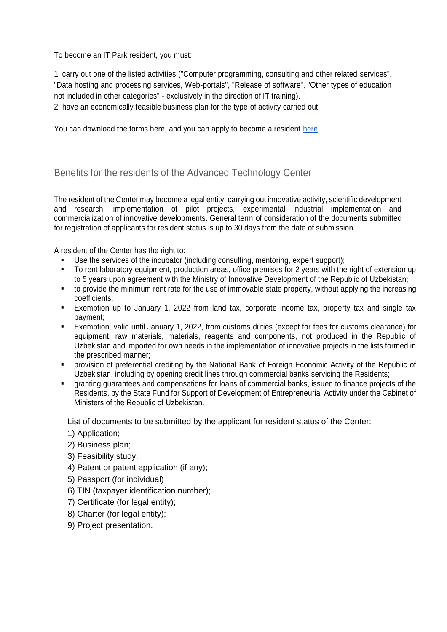To become an IT Park resident, you must:

1. carry out one of the listed activities ("Computer programming, consulting and other related services", "Data hosting and processing services, Web-portals", "Release of software", "Other types of education not included in other categories" - exclusively in the direction of IT training).

2. have an economically feasible business plan for the type of activity carried out.

You can download the forms here, and you can apply to become a resident [here.](https://www.it-park.uz/ru/itpark/residents/residence-application)

Benefits for the residents of the Advanced Technology Center

The resident of the Center may become a legal entity, carrying out innovative activity, scientific development and research, implementation of pilot projects, experimental industrial implementation and commercialization of innovative developments. General term of consideration of the documents submitted for registration of applicants for resident status is up to 30 days from the date of submission.

A resident of the Center has the right to:

- Use the services of the incubator (including consulting, mentoring, expert support);
- To rent laboratory equipment, production areas, office premises for 2 years with the right of extension up to 5 years upon agreement with the Ministry of Innovative Development of the Republic of Uzbekistan;
- to provide the minimum rent rate for the use of immovable state property, without applying the increasing coefficients;
- Exemption up to January 1, 2022 from land tax, corporate income tax, property tax and single tax payment;
- Exemption, valid until January 1, 2022, from customs duties (except for fees for customs clearance) for equipment, raw materials, materials, reagents and components, not produced in the Republic of Uzbekistan and imported for own needs in the implementation of innovative projects in the lists formed in the prescribed manner;
- provision of preferential crediting by the National Bank of Foreign Economic Activity of the Republic of Uzbekistan, including by opening credit lines through commercial banks servicing the Residents;
- granting guarantees and compensations for loans of commercial banks, issued to finance projects of the Residents, by the State Fund for Support of Development of Entrepreneurial Activity under the Cabinet of Ministers of the Republic of Uzbekistan.

List of documents to be submitted by the applicant for resident status of the Center:

- 1) Application;
- 2) Business plan;
- 3) Feasibility study;
- 4) Patent or patent application (if any);
- 5) Passport (for individual)
- 6) TIN (taxpayer identification number);
- 7) Certificate (for legal entity);
- 8) Charter (for legal entity);
- 9) Project presentation.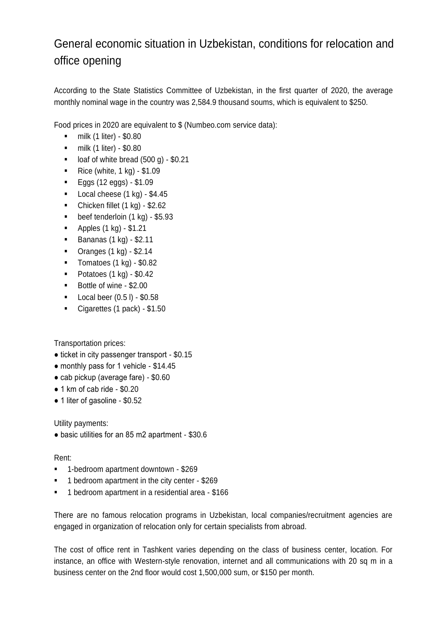# General economic situation in Uzbekistan, conditions for relocation and office opening

According to the State Statistics Committee of Uzbekistan, in the first quarter of 2020, the average monthly nominal wage in the country was 2,584.9 thousand soums, which is equivalent to \$250.

Food prices in 2020 are equivalent to \$ (Numbeo.com service data):

- $\blacksquare$  milk (1 liter) \$0.80
- $\blacksquare$  milk (1 liter) \$0.80
- $\blacksquare$  loaf of white bread (500 g) \$0.21
- Rice (white,  $1$  kg) \$1.09
- $\blacksquare$  Eggs (12 eggs) \$1.09
- $\blacksquare$  Local cheese (1 kg) \$4.45
- Chicken fillet  $(1 \text{ kg}) $2.62$
- $\bullet$  beef tenderloin (1 kg) \$5.93
- $\blacksquare$  Apples (1 kg) \$1.21
- **Bananas (1 kg) \$2.11**
- Oranges (1 kg) \$2.14
- Tomatoes  $(1 \text{ kg}) $0.82$
- $\blacksquare$  Potatoes (1 kg) \$0.42
- Bottle of wine \$2.00
- **Local beer**  $(0.5 \, \text{l}) $0.58$
- Cigarettes (1 pack) \$1.50

Transportation prices:

- ticket in city passenger transport \$0.15
- monthly pass for 1 vehicle \$14.45
- cab pickup (average fare) \$0.60
- 1 km of cab ride \$0.20
- 1 liter of gasoline \$0.52

Utility payments:

● basic utilities for an 85 m2 apartment - \$30.6

#### Rent:

- 1-bedroom apartment downtown \$269
- 1 bedroom apartment in the city center \$269
- 1 bedroom apartment in a residential area \$166

There are no famous relocation programs in Uzbekistan, local companies/recruitment agencies are engaged in organization of relocation only for certain specialists from abroad.

The cost of office rent in Tashkent varies depending on the class of business center, location. For instance, an office with Western-style renovation, internet and all communications with 20 sq m in a business center on the 2nd floor would cost 1,500,000 sum, or \$150 per month.